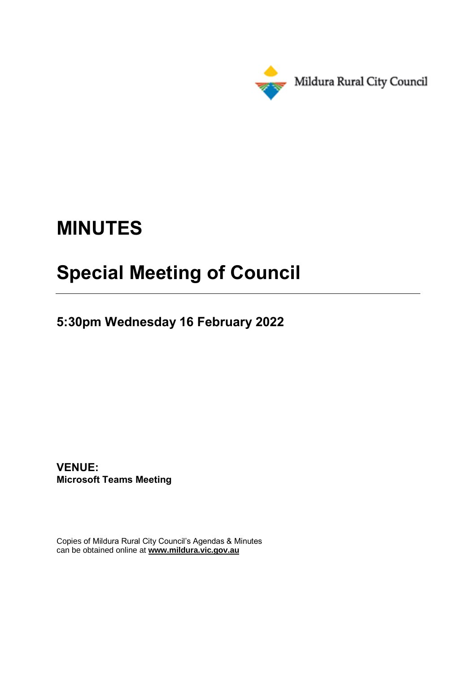

# **MINUTES**

## **Special Meeting of Council**

**5:30pm Wednesday 16 February 2022**

**VENUE: Microsoft Teams Meeting**

Copies of Mildura Rural City Council's Agendas & Minutes can be obtained online at **www.mildura.vic.gov.au**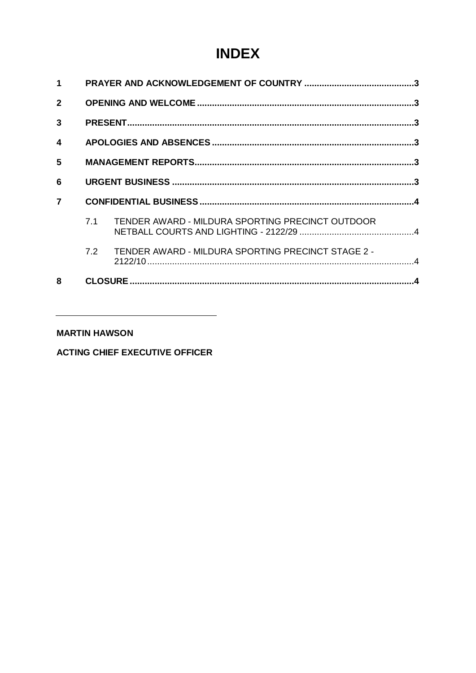## **INDEX**

| 1                |     |                                                    |  |
|------------------|-----|----------------------------------------------------|--|
| $\overline{2}$   |     |                                                    |  |
| 3                |     |                                                    |  |
| $\boldsymbol{4}$ |     |                                                    |  |
| 5                |     |                                                    |  |
| 6                |     |                                                    |  |
| $\overline{7}$   |     |                                                    |  |
|                  | 7.1 | TENDER AWARD - MILDURA SPORTING PRECINCT OUTDOOR   |  |
|                  | 7.2 | TENDER AWARD - MILDURA SPORTING PRECINCT STAGE 2 - |  |
| 8                |     |                                                    |  |

#### **MARTIN HAWSON**

**ACTING CHIEF EXECUTIVE OFFICER**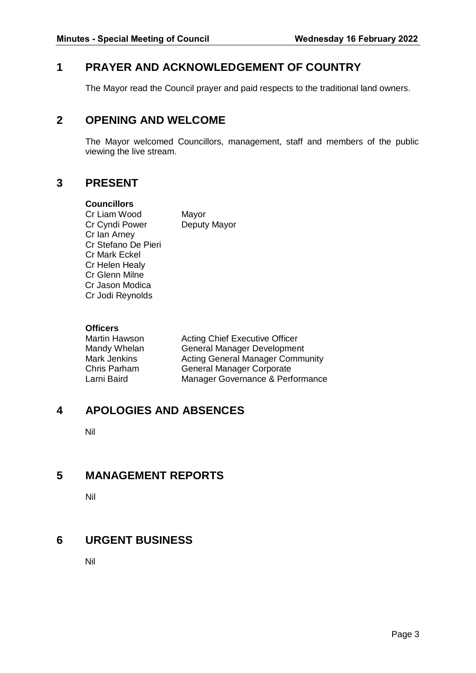#### <span id="page-2-0"></span>**1 PRAYER AND ACKNOWLEDGEMENT OF COUNTRY**

The Mayor read the Council prayer and paid respects to the traditional land owners.

#### <span id="page-2-1"></span>**2 OPENING AND WELCOME**

The Mayor welcomed Councillors, management, staff and members of the public viewing the live stream.

#### <span id="page-2-2"></span>**3 PRESENT**

#### **Councillors**

Cr Liam Wood Mayor Cr Cyndi Power Deputy Mayor Cr Ian Arney Cr Stefano De Pieri Cr Mark Eckel Cr Helen Healy Cr Glenn Milne Cr Jason Modica Cr Jodi Reynolds

#### **Officers**

Martin Hawson **Acting Chief Executive Officer** Mandy Whelan General Manager Development Mark Jenkins **Acting General Manager Community** Chris Parham General Manager Corporate Larni Baird Manager Governance & Performance

### <span id="page-2-3"></span>**4 APOLOGIES AND ABSENCES**

Nil

### <span id="page-2-4"></span>**5 MANAGEMENT REPORTS**

Nil

#### <span id="page-2-5"></span>**6 URGENT BUSINESS**

Nil